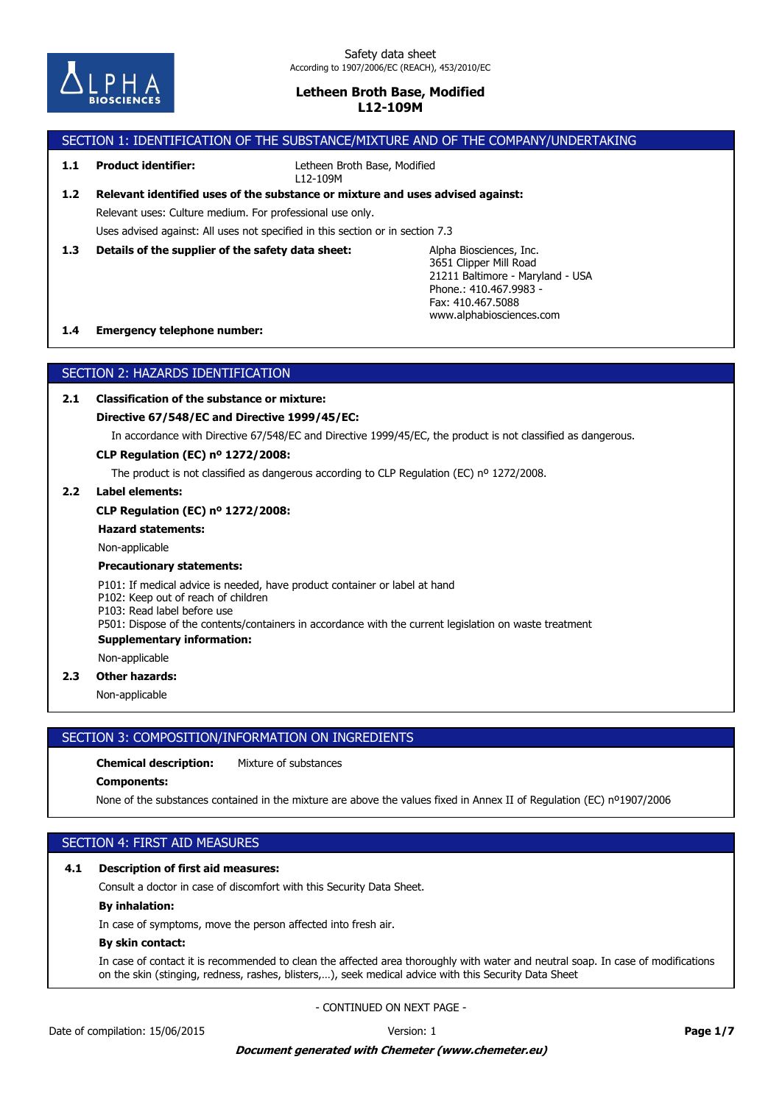

## SECTION 1: IDENTIFICATION OF THE SUBSTANCE/MIXTURE AND OF THE COMPANY/UNDERTAKING

## **1.1 Product identifier:**

Letheen Broth Base, Modified L12-109M

# Uses advised against: All uses not specified in this section or in section 7.3 Relevant uses: Culture medium. For professional use only. **1.2 Relevant identified uses of the substance or mixture and uses advised against:**

**1.3 Details of the supplier of the safety data sheet:**

Alpha Biosciences, Inc. 3651 Clipper Mill Road 21211 Baltimore - Maryland - USA Phone.: 410.467.9983-Fax: 410.467.5088 www.alphabiosciences.com

## **1.4 Emergency telephone number:**

## SECTION 2: HAZARDS IDENTIFICATION

## **2.1 Classification of the substance or mixture:**

## **Directive 67/548/EC and Directive 1999/45/EC:**

In accordance with Directive 67/548/EC and Directive 1999/45/EC, the product is not classified as dangerous.

## **CLP Regulation (EC) nº 1272/2008:**

The product is not classified as dangerous according to CLP Regulation (EC) nº 1272/2008.

#### **2.2 Label elements:**

#### **CLP Regulation (EC) nº 1272/2008:**

### **Hazard statements:**

Non-applicable

#### **Precautionary statements:**

P101: If medical advice is needed, have product container or label at hand

P102: Keep out of reach of children

P103: Read label before use

P501: Dispose of the contents/containers in accordance with the current legislation on waste treatment

### **Supplementary information:**

Non-applicable

## **2.3 Other hazards:**

Non-applicable

## SECTION 3: COMPOSITION/INFORMATION ON INGREDIENTS

## **Chemical description:** Mixture of substances

#### **Components:**

None of the substances contained in the mixture are above the values fixed in Annex II of Regulation (EC) nº1907/2006

## SECTION 4: FIRST AID MEASURES

## **4.1 Description of first aid measures:**

Consult a doctor in case of discomfort with this Security Data Sheet.

## **By inhalation:**

In case of symptoms, move the person affected into fresh air.

## **By skin contact:**

In case of contact it is recommended to clean the affected area thoroughly with water and neutral soap. In case of modifications on the skin (stinging, redness, rashes, blisters,…), seek medical advice with this Security Data Sheet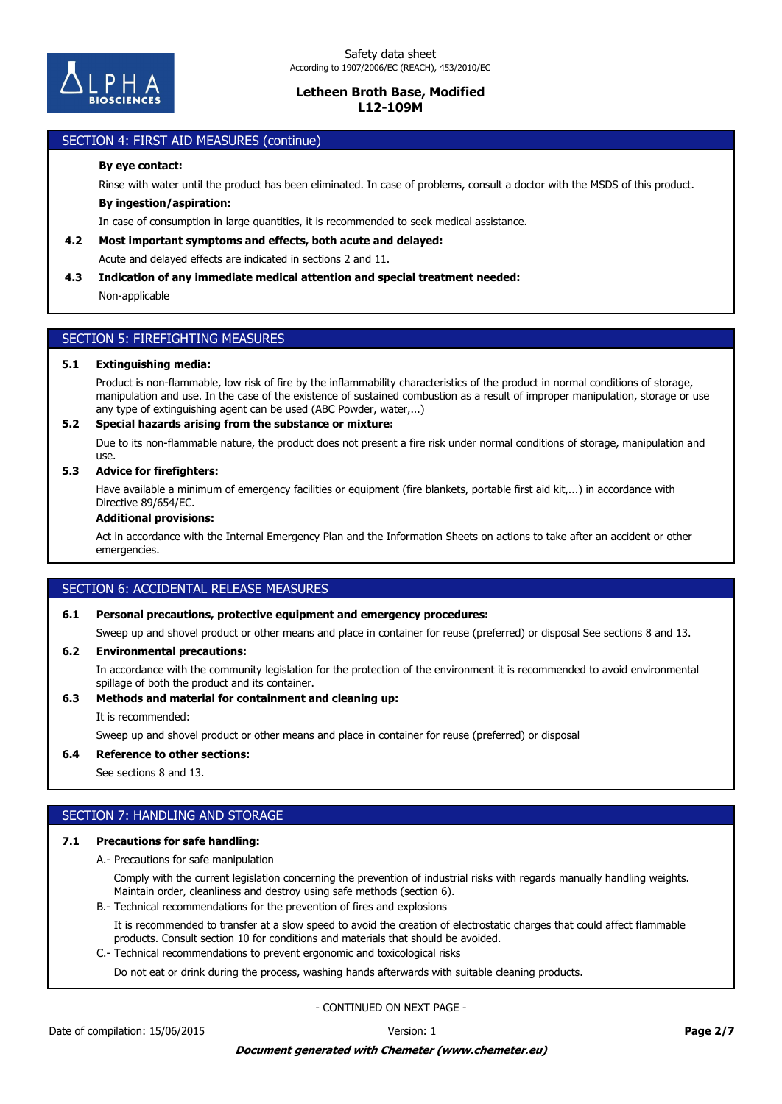

#### **IN CASE OF CASE OF CASE OF CONTACT AREA THE AFFECTED AREA THE AFFECTED TO CLEAN THE AFFECTED TO CLEAN THE AFFECT** on the skin (stinging), reduce  $\mathcal{L}$  and advice with this Security Data Sheet medical advice with this Security Data Sheet medical advice with this Security Data Sheet medical advice with this Security Data Sheet medic

## **By eye contact:**

Rinse with water until the product has been eliminated. In case of problems, consult a doctor with the MSDS of this product.

## **By ingestion/aspiration:**

In case of consumption in large quantities, it is recommended to seek medical assistance.

## **4.2 Most important symptoms and effects, both acute and delayed:**

Acute and delayed effects are indicated in sections 2 and 11.

## **4.3 Indication of any immediate medical attention and special treatment needed:**

Non-applicable

# SECTION 5: FIREFIGHTING MEASURES

### **5.1 Extinguishing media:**

Product is non-flammable, low risk of fire by the inflammability characteristics of the product in normal conditions of storage, manipulation and use. In the case of the existence of sustained combustion as a result of improper manipulation, storage or use any type of extinguishing agent can be used (ABC Powder, water,...)

## **5.2 Special hazards arising from the substance or mixture:**

Due to its non-flammable nature, the product does not present a fire risk under normal conditions of storage, manipulation and use.

## **5.3 Advice for firefighters:**

Have available a minimum of emergency facilities or equipment (fire blankets, portable first aid kit,...) in accordance with Directive 89/654/EC.

## **Additional provisions:**

Act in accordance with the Internal Emergency Plan and the Information Sheets on actions to take after an accident or other emergencies.

## SECTION 6: ACCIDENTAL RELEASE MEASURES

## **6.1 Personal precautions, protective equipment and emergency procedures:**

Sweep up and shovel product or other means and place in container for reuse (preferred) or disposal See sections 8 and 13.

## **6.2 Environmental precautions:**

In accordance with the community legislation for the protection of the environment it is recommended to avoid environmental spillage of both the product and its container.

## **6.3 Methods and material for containment and cleaning up:**

It is recommended:

Sweep up and shovel product or other means and place in container for reuse (preferred) or disposal

**6.4 Reference to other sections:**

See sections 8 and 13.

## SECTION 7: HANDLING AND STORAGE

#### **7.1 Precautions for safe handling:**

A.- Precautions for safe manipulation

Comply with the current legislation concerning the prevention of industrial risks with regards manually handling weights. Maintain order, cleanliness and destroy using safe methods (section 6).

B.- Technical recommendations for the prevention of fires and explosions

It is recommended to transfer at a slow speed to avoid the creation of electrostatic charges that could affect flammable products. Consult section 10 for conditions and materials that should be avoided.

C.- Technical recommendations to prevent ergonomic and toxicological risks

Do not eat or drink during the process, washing hands afterwards with suitable cleaning products.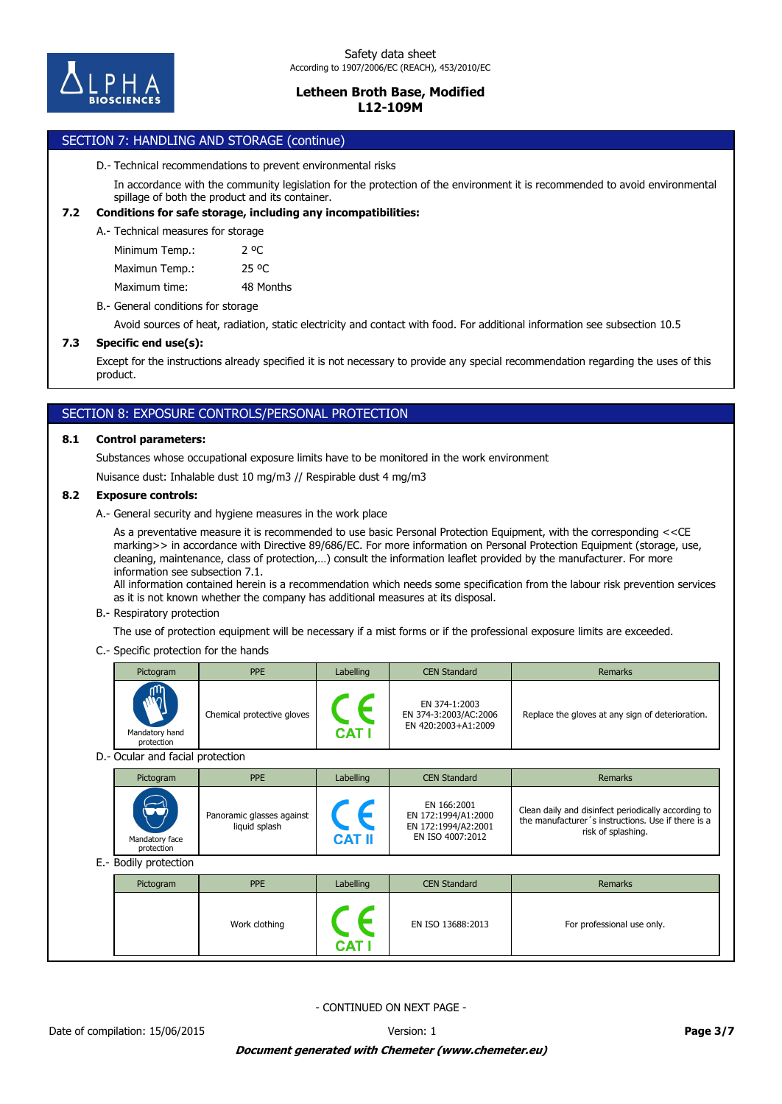

## SECTION 7: HANDLING AND STORAGE (continue)

#### D.- Technical recommendations to prevent environmental risks

In accordance with the community legislation for the protection of the environment it is recommended to avoid environmental spillage of both the product and its container.

### **7.2 Conditions for safe storage, including any incompatibilities:**

A.- Technical measures for storage

| Minimum Temp.: | 2 oC      |
|----------------|-----------|
| Maximun Temp.: | 25 OC     |
| Maximum time:  | 48 Months |

B.- General conditions for storage

Avoid sources of heat, radiation, static electricity and contact with food. For additional information see subsection 10.5

## **7.3 Specific end use(s):**

Except for the instructions already specified it is not necessary to provide any special recommendation regarding the uses of this product.

## SECTION 8: EXPOSURE CONTROLS/PERSONAL PROTECTION

#### **8.1 Control parameters:**

Substances whose occupational exposure limits have to be monitored in the work environment

Nuisance dust: Inhalable dust 10 mg/m3 // Respirable dust 4 mg/m3

## **8.2 Exposure controls:**

A.- General security and hygiene measures in the work place

As a preventative measure it is recommended to use basic Personal Protection Equipment, with the corresponding <<CE marking>> in accordance with Directive 89/686/EC. For more information on Personal Protection Equipment (storage, use, cleaning, maintenance, class of protection,…) consult the information leaflet provided by the manufacturer. For more information see subsection 7.1.

All information contained herein is a recommendation which needs some specification from the labour risk prevention services as it is not known whether the company has additional measures at its disposal.

#### B.- Respiratory protection

The use of protection equipment will be necessary if a mist forms or if the professional exposure limits are exceeded.

C.- Specific protection for the hands

| $\sqrt{\frac{1}{2}}$<br>EN 374-1:2003                      | Pictogram | <b>PPE</b>                 | Labelling | <b>CEN Standard</b>   | <b>Remarks</b>                                   |
|------------------------------------------------------------|-----------|----------------------------|-----------|-----------------------|--------------------------------------------------|
| EN 420:2003+A1:2009<br>CAT<br>Mandatory hand<br>protection |           | Chemical protective gloves |           | EN 374-3:2003/AC:2006 | Replace the gloves at any sign of deterioration. |

D.- Ocular and facial protection

| Pictogram                                                                                     | <b>PPE</b>                                 | Labelling        | <b>CEN Standard</b>                                                           | <b>Remarks</b>                                                                                                                  |
|-----------------------------------------------------------------------------------------------|--------------------------------------------|------------------|-------------------------------------------------------------------------------|---------------------------------------------------------------------------------------------------------------------------------|
| $\left(\begin{matrix} \bullet \\ \bullet \end{matrix}\right)$<br>Mandatory face<br>protection | Panoramic glasses against<br>liquid splash | <b>CAT II</b>    | EN 166:2001<br>EN 172:1994/A1:2000<br>EN 172:1994/A2:2001<br>EN ISO 4007:2012 | Clean daily and disinfect periodically according to<br>the manufacturer's instructions. Use if there is a<br>risk of splashing. |
| E.- Bodily protection                                                                         |                                            |                  |                                                                               |                                                                                                                                 |
| Distantant                                                                                    | <b>DDE</b>                                 | <b>Loholling</b> | CENIC                                                                         | <b>Domnuto</b>                                                                                                                  |

| Pictogram | <b>PPE</b>    | Labelling | <b>CEN Standard</b> | <b>Remarks</b>             |
|-----------|---------------|-----------|---------------------|----------------------------|
|           | Work clothing | CAT       | EN ISO 13688:2013   | For professional use only. |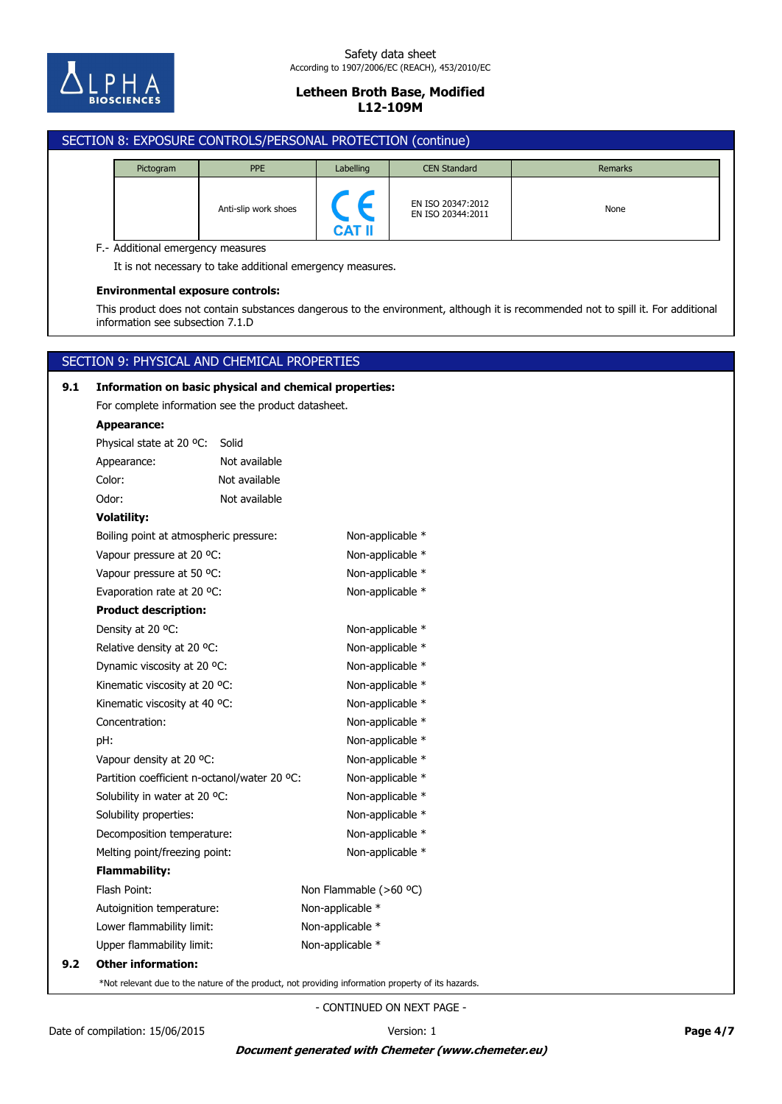

## SECTION 8: EXPOSURE CONTROLS/PERSONAL PROTECTION (continue)

| Pictogram | <b>PPE</b>           | Labelling     | <b>CEN Standard</b>                    | Remarks |
|-----------|----------------------|---------------|----------------------------------------|---------|
|           | Anti-slip work shoes | <b>CAT II</b> | EN ISO 20347:2012<br>EN ISO 20344:2011 | None    |

F.- Additional emergency measures

It is not necessary to take additional emergency measures.

#### **Environmental exposure controls:**

This product does not contain substances dangerous to the environment, although it is recommended not to spill it. For additional information see subsection 7.1.D

## SECTION 9: PHYSICAL AND CHEMICAL PROPERTIES

# **9.2 Other information:** Upper flammability limit: Non-applicable \* Lower flammability limit: Non-applicable \* Autoignition temperature: Non-applicable \* Flash Point: Non Flammable (>60 °C) **Flammability:** Melting point/freezing point: Non-applicable \* Decomposition temperature: Non-applicable \* Solubility properties: Non-applicable \* Solubility in water at 20 °C: Non-applicable \* Partition coefficient n-octanol/water 20 °C: Non-applicable \* Vapour density at 20 °C: Non-applicable \* pH: Non-applicable \* Concentration: Non-applicable \* Kinematic viscosity at 40 °C: Non-applicable \* Kinematic viscosity at 20 °C: Non-applicable \* Dynamic viscosity at 20 °C: Non-applicable \* Relative density at 20 °C: Non-applicable \* Density at 20 °C: Non-applicable \* **Product description:** Evaporation rate at 20 °C: Non-applicable \* Vapour pressure at 50 °C: Non-applicable \* Vapour pressure at 20 °C: Non-applicable \* Boiling point at atmospheric pressure: Non-applicable \* **Volatility:** Odor: Not available Color: Not available Appearance: Not available Physical state at 20 ºC: Solid **Appearance:** For complete information see the product datasheet. **9.1 Information on basic physical and chemical properties:**

\*Not relevant due to the nature of the product, not providing information property of its hazards.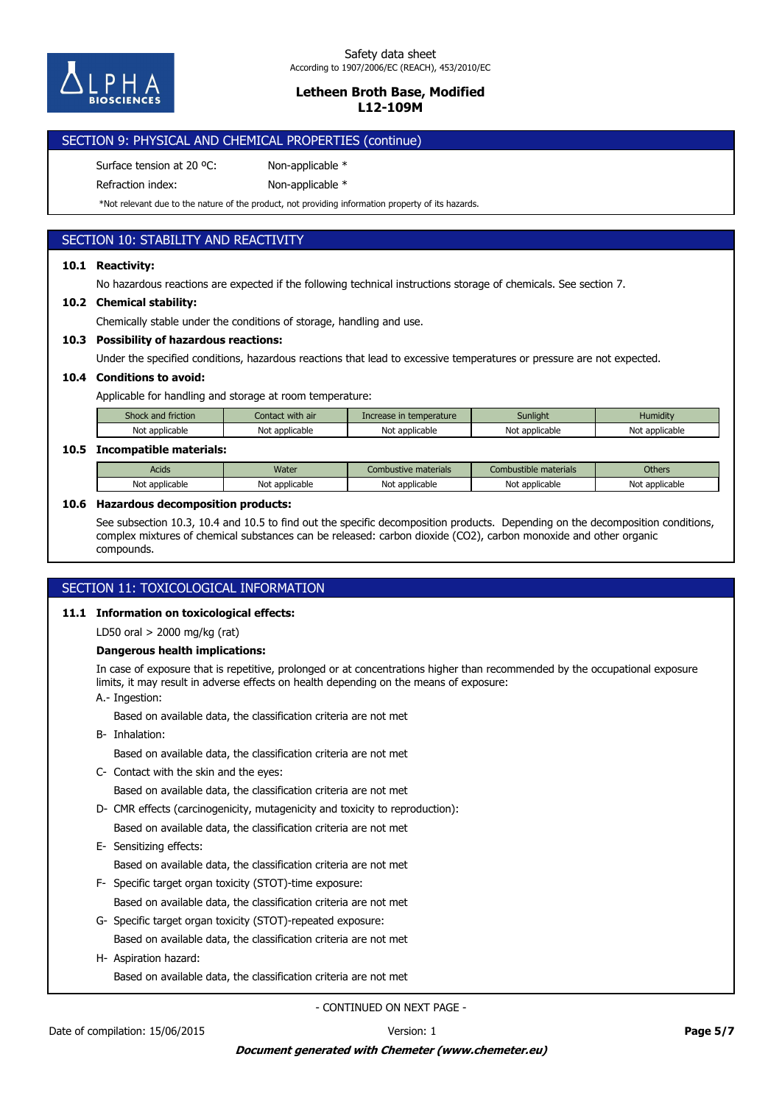

## SECTION 9: PHYSICAL AND CHEMICAL PROPERTIES (continue)

Surface tension at 20 °C: Non-applicable \*

Refraction index: Non-applicable \*

\*Not relevant due to the nature of the product, not providing information property of its hazards.

## SECTION 10: STABILITY AND REACTIVITY

## **10.1 Reactivity:**

No hazardous reactions are expected if the following technical instructions storage of chemicals. See section 7.

## **10.2 Chemical stability:**

Chemically stable under the conditions of storage, handling and use.

## **10.3 Possibility of hazardous reactions:**

Under the specified conditions, hazardous reactions that lead to excessive temperatures or pressure are not expected.

## **10.4 Conditions to avoid:**

Applicable for handling and storage at room temperature:

| Shock and friction | Contact with air | Increase in temperature | Sunliaht       | Humiditv       |
|--------------------|------------------|-------------------------|----------------|----------------|
| Not applicable     | Not applicable   | Not applicable          | Not applicable | Not applicable |

## **10.5 Incompatible materials:**

| Acids                          | <b>Water</b>      | materials<br>ustive                        | $\sim$<br>e materials<br>ombustible | <b>Others</b>  |
|--------------------------------|-------------------|--------------------------------------------|-------------------------------------|----------------|
| Not<br><sup>.</sup> applicable | Not<br>applicable | <br>N <sub>0</sub><br>` applicable i<br>٦U | <sup>.</sup> applicable<br>No       | Not applicable |

### **10.6 Hazardous decomposition products:**

See subsection 10.3, 10.4 and 10.5 to find out the specific decomposition products. Depending on the decomposition conditions, complex mixtures of chemical substances can be released: carbon dioxide (CO2), carbon monoxide and other organic compounds.

## SECTION 11: TOXICOLOGICAL INFORMATION

## **11.1 Information on toxicological effects:**

LD50 oral > 2000 mg/kg (rat)

## **Dangerous health implications:**

In case of exposure that is repetitive, prolonged or at concentrations higher than recommended by the occupational exposure limits, it may result in adverse effects on health depending on the means of exposure:

A.- Ingestion:

Based on available data, the classification criteria are not met

B- Inhalation:

Based on available data, the classification criteria are not met

C- Contact with the skin and the eyes:

Based on available data, the classification criteria are not met

- Based on available data, the classification criteria are not met D- CMR effects (carcinogenicity, mutagenicity and toxicity to reproduction):
- E- Sensitizing effects:
	- Based on available data, the classification criteria are not met
- Based on available data, the classification criteria are not met F- Specific target organ toxicity (STOT)-time exposure:
- Based on available data, the classification criteria are not met G- Specific target organ toxicity (STOT)-repeated exposure:
- H- Aspiration hazard:

Based on available data, the classification criteria are not met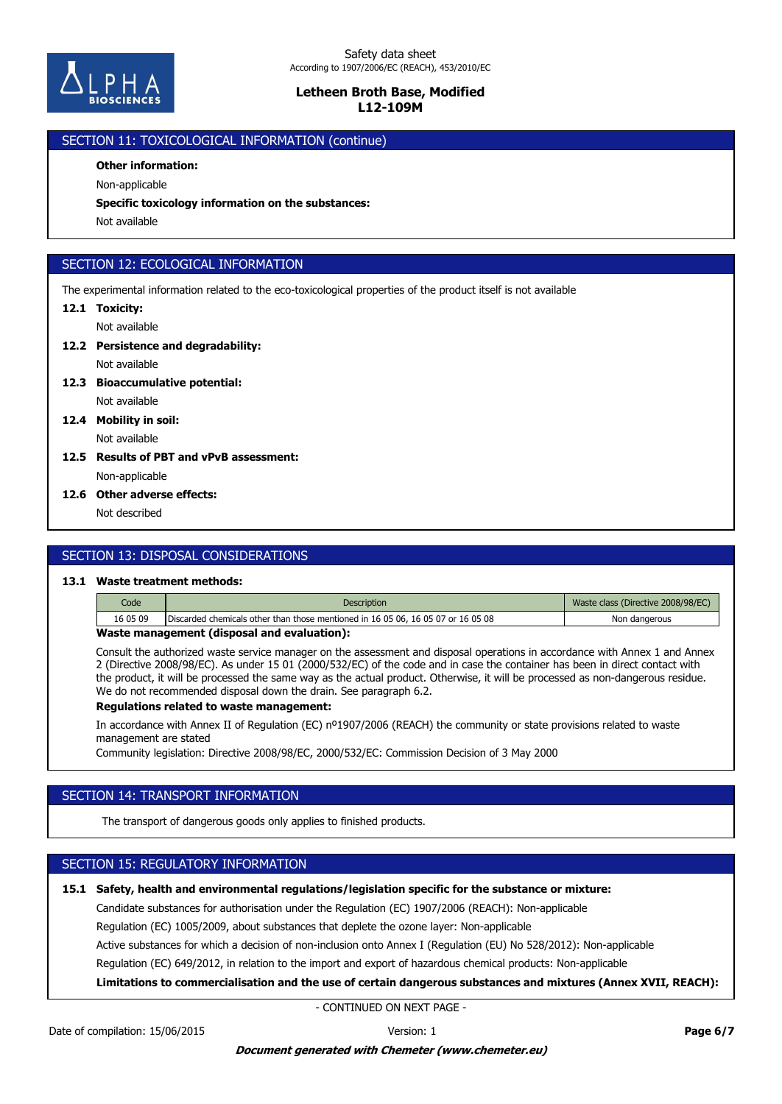

## SECTION 11: TOXICOLOGICAL INFORMATION (continue)

## **Other information:**

Non-applicable

**Specific toxicology information on the substances:**

Not available

## SECTION 12: ECOLOGICAL INFORMATION

The experimental information related to the eco-toxicological properties of the product itself is not available

## **12.1 Toxicity:**

Not available

**12.2 Persistence and degradability:**

Not available

**12.3 Bioaccumulative potential:**

Not available

- Not available **12.4 Mobility in soil:**
- **12.5 Results of PBT and vPvB assessment:**

Non-applicable

**12.6 Other adverse effects:**

Not described

## SECTION 13: DISPOSAL CONSIDERATIONS

#### **13.1 Waste treatment methods:**

| Code     | <b>Description</b>                                                               | Waste class (Directive 2008/98/EC) |
|----------|----------------------------------------------------------------------------------|------------------------------------|
| 16 05 09 | Discarded chemicals other than those mentioned in 16 05 06, 16 05 07 or 16 05 08 | Non dangerous                      |
| .        | - - -                                                                            |                                    |

## **Waste management (disposal and evaluation):**

Consult the authorized waste service manager on the assessment and disposal operations in accordance with Annex 1 and Annex 2 (Directive 2008/98/EC). As under 15 01 (2000/532/EC) of the code and in case the container has been in direct contact with the product, it will be processed the same way as the actual product. Otherwise, it will be processed as non-dangerous residue. We do not recommended disposal down the drain. See paragraph 6.2.

#### **Regulations related to waste management:**

In accordance with Annex II of Regulation (EC) nº1907/2006 (REACH) the community or state provisions related to waste management are stated

Community legislation: Directive 2008/98/EC, 2000/532/EC: Commission Decision of 3 May 2000

## SECTION 14: TRANSPORT INFORMATION

The transport of dangerous goods only applies to finished products.

## SECTION 15: REGULATORY INFORMATION

## **15.1 Safety, health and environmental regulations/legislation specific for the substance or mixture:**

Candidate substances for authorisation under the Regulation (EC) 1907/2006 (REACH): Non-applicable

Regulation (EC) 1005/2009, about substances that deplete the ozone layer: Non-applicable

Active substances for which a decision of non-inclusion onto Annex I (Regulation (EU) No 528/2012): Non-applicable

Regulation (EC) 649/2012, in relation to the import and export of hazardous chemical products: Non-applicable

**Limitations to commercialisation and the use of certain dangerous substances and mixtures (Annex XVII, REACH):**